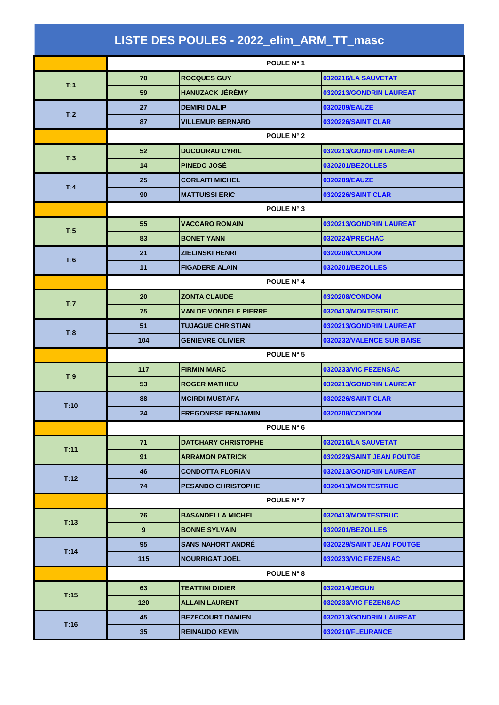|      |                 | LISTE DES POULES - 2022_elim_ARM_TT_masc |                           |
|------|-----------------|------------------------------------------|---------------------------|
|      |                 | POULE N° 1                               |                           |
| T:1  | 70              | <b>ROCQUES GUY</b>                       | 0320216/LA SAUVETAT       |
|      | 59              | <b>HANUZACK JÉRÉMY</b>                   | 0320213/GONDRIN LAUREAT   |
|      | 27              | <b>DEMIRI DALIP</b>                      | 0320209/EAUZE             |
| T:2  | 87              | <b>VILLEMUR BERNARD</b>                  | <b>0320226/SAINT CLAR</b> |
|      | POULE N° 2      |                                          |                           |
|      | 52              | <b>DUCOURAU CYRIL</b>                    | 0320213/GONDRIN LAUREAT   |
| T:3  | 14              | <b>PINEDO JOSÉ</b>                       | 0320201/BEZOLLES          |
|      | 25              | <b>CORLAITI MICHEL</b>                   | 0320209/EAUZE             |
| T:4  | 90              | <b>MATTUISSI ERIC</b>                    | <b>0320226/SAINT CLAR</b> |
|      | POULE N° 3      |                                          |                           |
|      | 55              | <b>VACCARO ROMAIN</b>                    | 0320213/GONDRIN LAUREAT   |
| T:5  | 83              | <b>BONET YANN</b>                        | 0320224/PRECHAC           |
| T:6  | 21              | <b>ZIELINSKI HENRI</b>                   | 0320208/CONDOM            |
|      | 11              | <b>FIGADERE ALAIN</b>                    | 0320201/BEZOLLES          |
|      | POULE N° 4      |                                          |                           |
| T:7  | 20              | <b>ZONTA CLAUDE</b>                      | 0320208/CONDOM            |
|      | 75              | VAN DE VONDELE PIERRE                    | 0320413/MONTESTRUC        |
| T:8  | 51              | <b>TUJAGUE CHRISTIAN</b>                 | 0320213/GONDRIN LAUREAT   |
|      | 104             | <b>GENIEVRE OLIVIER</b>                  | 0320232/VALENCE SUR BAISE |
|      | POULE N° 5      |                                          |                           |
| T:9  | 117             | <b>FIRMIN MARC</b>                       | 0320233/VIC FEZENSAC      |
|      | 53              | <b>ROGER MATHIEU</b>                     | 0320213/GONDRIN LAUREAT   |
| T:10 | 88              | <b>MCIRDI MUSTAFA</b>                    | 0320226/SAINT CLAR        |
|      | 24              | <b>FREGONESE BENJAMIN</b>                | 0320208/CONDOM            |
|      |                 | POULE N° 6                               |                           |
| T:11 | 71              | <b>DATCHARY CHRISTOPHE</b>               | 0320216/LA SAUVETAT       |
|      | 91              | <b>ARRAMON PATRICK</b>                   | 0320229/SAINT JEAN POUTGE |
| T:12 | 46              | <b>CONDOTTA FLORIAN</b>                  | 0320213/GONDRIN LAUREAT   |
|      | 74              | <b>PESANDO CHRISTOPHE</b>                | 0320413/MONTESTRUC        |
|      |                 | POULE N° 7                               |                           |
| T:13 | 76              | <b>BASANDELLA MICHEL</b>                 | 0320413/MONTESTRUC        |
|      | 9               | <b>BONNE SYLVAIN</b>                     | 0320201/BEZOLLES          |
| T:14 | 95              | <b>SANS NAHORT ANDRE</b>                 | 0320229/SAINT JEAN POUTGE |
|      | 115             | <b>NOURRIGAT JOËL</b>                    | 0320233/VIC FEZENSAC      |
|      |                 | POULE N° 8                               |                           |
| T:15 | 63              | <b>TEATTINI DIDIER</b>                   | 0320214/JEGUN             |
|      | 120             | <b>ALLAIN LAURENT</b>                    | 0320233/VIC FEZENSAC      |
| T:16 | 45              | <b>BEZECOURT DAMIEN</b>                  | 0320213/GONDRIN LAUREAT   |
|      | 35 <sub>5</sub> | <b>REINAUDO KEVIN</b>                    | 0320210/FLEURANCE         |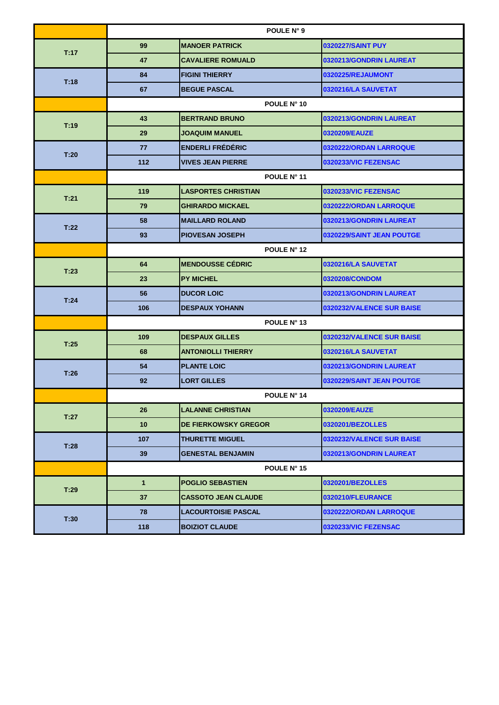|      | POULE N° 9      |                             |                           |
|------|-----------------|-----------------------------|---------------------------|
| T:17 | 99              | <b>MANOER PATRICK</b>       | 0320227/SAINT PUY         |
|      | 47              | <b>CAVALIERE ROMUALD</b>    | 0320213/GONDRIN LAUREAT   |
|      | 84              | <b>FIGINI THIERRY</b>       | 0320225/REJAUMONT         |
| T:18 | 67              | <b>BEGUE PASCAL</b>         | 0320216/LA SAUVETAT       |
|      |                 | POULE N° 10                 |                           |
| T:19 | 43              | <b>BERTRAND BRUNO</b>       | 0320213/GONDRIN LAUREAT   |
|      | 29              | JOAQUIM MANUEL              | 0320209/EAUZE             |
| T:20 | 77              | <b>ENDERLI FRÉDÉRIC</b>     | 0320222/ORDAN LARROQUE    |
|      | 112             | <b>VIVES JEAN PIERRE</b>    | 0320233/VIC FEZENSAC      |
|      | POULE N° 11     |                             |                           |
|      | 119             | <b>LASPORTES CHRISTIAN</b>  | 0320233/VIC FEZENSAC      |
| T:21 | 79              | <b>GHIRARDO MICKAEL</b>     | 0320222/ORDAN LARROQUE    |
| T:22 | 58              | <b>MAILLARD ROLAND</b>      | 0320213/GONDRIN LAUREAT   |
|      | 93              | <b>PIOVESAN JOSEPH</b>      | 0320229/SAINT JEAN POUTGE |
|      | POULE N° 12     |                             |                           |
| T:23 | 64              | <b>MENDOUSSE CÉDRIC</b>     | 0320216/LA SAUVETAT       |
|      | 23              | <b>PY MICHEL</b>            | 0320208/CONDOM            |
| T:24 | 56              | <b>DUCOR LOIC</b>           | 0320213/GONDRIN LAUREAT   |
|      | 106             | <b>DESPAUX YOHANN</b>       | 0320232/VALENCE SUR BAISE |
|      | POULE N° 13     |                             |                           |
| T:25 | 109             | <b>DESPAUX GILLES</b>       | 0320232/VALENCE SUR BAISE |
|      | 68              | <b>ANTONIOLLI THIERRY</b>   | 0320216/LA SAUVETAT       |
| T:26 | 54              | <b>PLANTE LOIC</b>          | 0320213/GONDRIN LAUREAT   |
|      | 92              | <b>LORT GILLES</b>          | 0320229/SAINT JEAN POUTGE |
|      |                 | POULE N° 14                 |                           |
| T:27 | 26              | <b>LALANNE CHRISTIAN</b>    | 0320209/EAUZE             |
|      | 10 <sub>1</sub> | <b>DE FIERKOWSKY GREGOR</b> | 0320201/BEZOLLES          |
| T:28 | 107             | <b>THURETTE MIGUEL</b>      | 0320232/VALENCE SUR BAISE |
|      | 39              | <b>GENESTAL BENJAMIN</b>    | 0320213/GONDRIN LAUREAT   |
|      |                 | POULE N° 15                 |                           |
| T:29 | $\mathbf{1}$    | <b>POGLIO SEBASTIEN</b>     | 0320201/BEZOLLES          |
|      | 37              | <b>CASSOTO JEAN CLAUDE</b>  | 0320210/FLEURANCE         |
| T:30 | 78              | <b>LACOURTOISIE PASCAL</b>  | 0320222/ORDAN LARROQUE    |
|      | 118             | <b>BOIZIOT CLAUDE</b>       | 0320233/VIC FEZENSAC      |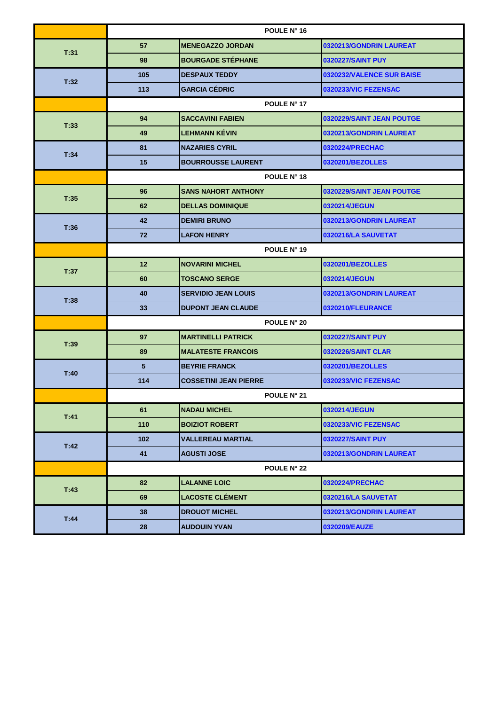|      | POULE N° 16        |                              |                           |  |
|------|--------------------|------------------------------|---------------------------|--|
| T:31 | 57                 | <b>MENEGAZZO JORDAN</b>      | 0320213/GONDRIN LAUREAT   |  |
|      | 98                 | <b>BOURGADE STÉPHANE</b>     | 0320227/SAINT PUY         |  |
|      | 105                | <b>DESPAUX TEDDY</b>         | 0320232/VALENCE SUR BAISE |  |
| T:32 | 113                | <b>GARCIA CÉDRIC</b>         | 0320233/VIC FEZENSAC      |  |
|      |                    | POULE N° 17                  |                           |  |
| T:33 | 94                 | <b>SACCAVINI FABIEN</b>      | 0320229/SAINT JEAN POUTGE |  |
|      | 49                 | <b>LEHMANN KÉVIN</b>         | 0320213/GONDRIN LAUREAT   |  |
| T:34 | 81                 | <b>NAZARIES CYRIL</b>        | 0320224/PRECHAC           |  |
|      | 15                 | <b>BOURROUSSE LAURENT</b>    | 0320201/BEZOLLES          |  |
|      |                    | POULE N° 18                  |                           |  |
| T:35 | 96                 | <b>SANS NAHORT ANTHONY</b>   | 0320229/SAINT JEAN POUTGE |  |
|      | 62                 | <b>DELLAS DOMINIQUE</b>      | 0320214/JEGUN             |  |
| T:36 | 42                 | <b>DEMIRI BRUNO</b>          | 0320213/GONDRIN LAUREAT   |  |
|      | 72                 | <b>LAFON HENRY</b>           | 0320216/LA SAUVETAT       |  |
|      | POULE N° 19        |                              |                           |  |
| T:37 | 12 <sup>2</sup>    | <b>NOVARINI MICHEL</b>       | 0320201/BEZOLLES          |  |
|      | 60                 | <b>TOSCANO SERGE</b>         | 0320214/JEGUN             |  |
| T:38 | 40                 | <b>SERVIDIO JEAN LOUIS</b>   | 0320213/GONDRIN LAUREAT   |  |
|      | 33                 | <b>DUPONT JEAN CLAUDE</b>    | 0320210/FLEURANCE         |  |
|      | <b>POULE N° 20</b> |                              |                           |  |
| T:39 | 97                 | <b>MARTINELLI PATRICK</b>    | 0320227/SAINT PUY         |  |
|      | 89                 | <b>MALATESTE FRANCOIS</b>    | <b>0320226/SAINT CLAR</b> |  |
| T:40 | 5                  | <b>BEYRIE FRANCK</b>         | 0320201/BEZOLLES          |  |
|      | 114                | <b>COSSETINI JEAN PIERRE</b> | 0320233/VIC FEZENSAC      |  |
|      |                    | POULE N° 21                  |                           |  |
| T:41 | 61                 | <b>NADAU MICHEL</b>          | 0320214/JEGUN             |  |
|      | 110                | <b>BOIZIOT ROBERT</b>        | 0320233/VIC FEZENSAC      |  |
| T:42 | 102 <sub>2</sub>   | <b>VALLEREAU MARTIAL</b>     | 0320227/SAINT PUY         |  |
|      | 41                 | <b>AGUSTI JOSE</b>           | 0320213/GONDRIN LAUREAT   |  |
|      |                    | <b>POULE N° 22</b>           |                           |  |
| T:43 | 82                 | <b>LALANNE LOIC</b>          | 0320224/PRECHAC           |  |
|      | 69                 | <b>LACOSTE CLÉMENT</b>       | 0320216/LA SAUVETAT       |  |
| T.44 | 38                 | <b>DROUOT MICHEL</b>         | 0320213/GONDRIN LAUREAT   |  |
|      | 28                 | <b>AUDOUIN YVAN</b>          | 0320209/EAUZE             |  |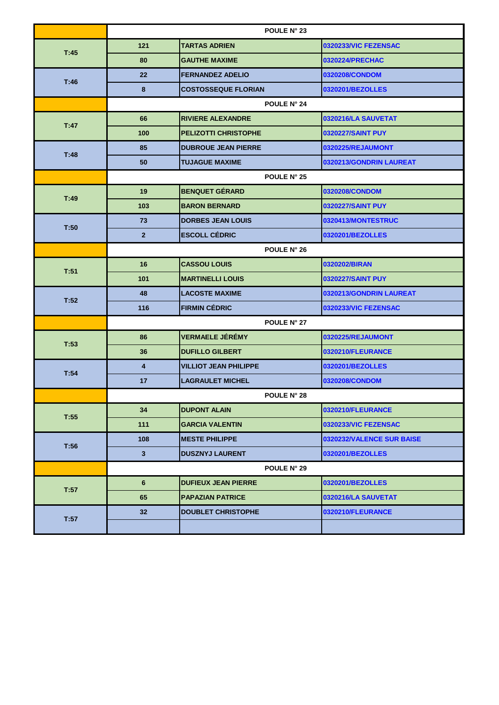|      | POULE N° 23             |                              |                           |
|------|-------------------------|------------------------------|---------------------------|
| T:45 | 121                     | <b>TARTAS ADRIEN</b>         | 0320233/VIC FEZENSAC      |
|      | 80                      | <b>GAUTHE MAXIME</b>         | 0320224/PRECHAC           |
|      | 22                      | <b>FERNANDEZ ADELIO</b>      | 0320208/CONDOM            |
| T:46 | 8                       | <b>COSTOSSEQUE FLORIAN</b>   | 0320201/BEZOLLES          |
|      |                         | POULE N° 24                  |                           |
| T:47 | 66                      | <b>RIVIERE ALEXANDRE</b>     | 0320216/LA SAUVETAT       |
|      | 100                     | <b>PELIZOTTI CHRISTOPHE</b>  | 0320227/SAINT PUY         |
|      | 85                      | <b>DUBROUE JEAN PIERRE</b>   | 0320225/REJAUMONT         |
| T:48 | 50                      | <b>TUJAGUE MAXIME</b>        | 0320213/GONDRIN LAUREAT   |
|      | POULE N° 25             |                              |                           |
|      | 19                      | <b>BENQUET GÉRARD</b>        | 0320208/CONDOM            |
| T:49 | 103                     | <b>BARON BERNARD</b>         | 0320227/SAINT PUY         |
|      | 73                      | <b>DORBES JEAN LOUIS</b>     | 0320413/MONTESTRUC        |
| T:50 | $\overline{2}$          | <b>ESCOLL CÉDRIC</b>         | 0320201/BEZOLLES          |
|      | POULE N° 26             |                              |                           |
| T:51 | 16                      | <b>CASSOU LOUIS</b>          | 0320202/BIRAN             |
|      | 101                     | <b>MARTINELLI LOUIS</b>      | 0320227/SAINT PUY         |
| T:52 | 48                      | <b>LACOSTE MAXIME</b>        | 0320213/GONDRIN LAUREAT   |
|      | 116                     | <b>FIRMIN CÉDRIC</b>         | 0320233/VIC FEZENSAC      |
|      |                         | POULE N° 27                  |                           |
| T:53 | 86                      | <b>VERMAELE JÉRÉMY</b>       | 0320225/REJAUMONT         |
|      | 36                      | <b>DUFILLO GILBERT</b>       | 0320210/FLEURANCE         |
| T:54 | $\overline{\mathbf{4}}$ | <b>VILLIOT JEAN PHILIPPE</b> | 0320201/BEZOLLES          |
|      | 17                      | <b>LAGRAULET MICHEL</b>      | 0320208/CONDOM            |
|      |                         | <b>POULE N° 28</b>           |                           |
| T:55 | 34                      | <b>DUPONT ALAIN</b>          | 0320210/FLEURANCE         |
|      | 111                     | <b>GARCIA VALENTIN</b>       | 0320233/VIC FEZENSAC      |
| T:56 | 108                     | <b>MESTE PHILIPPE</b>        | 0320232/VALENCE SUR BAISE |
|      | $\mathbf{3}$            | <b>DUSZNYJ LAURENT</b>       | 0320201/BEZOLLES          |
|      |                         | POULE N° 29                  |                           |
| T:57 | $6\phantom{1}$          | <b>DUFIEUX JEAN PIERRE</b>   | 0320201/BEZOLLES          |
|      | 65                      | <b>PAPAZIAN PATRICE</b>      | 0320216/LA SAUVETAT       |
| T:57 | 32                      | <b>DOUBLET CHRISTOPHE</b>    | 0320210/FLEURANCE         |
|      |                         |                              |                           |
|      |                         |                              |                           |